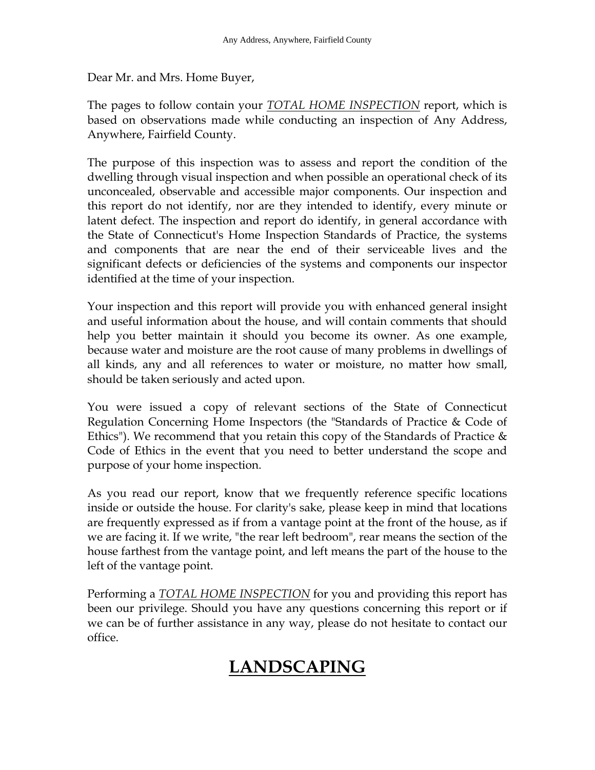Dear Mr. and Mrs. Home Buyer,

The pages to follow contain your *TOTAL HOME INSPECTION* report, which is based on observations made while conducting an inspection of Any Address, Anywhere, Fairfield County.

The purpose of this inspection was to assess and report the condition of the dwelling through visual inspection and when possible an operational check of its unconcealed, observable and accessible major components. Our inspection and this report do not identify, nor are they intended to identify, every minute or latent defect. The inspection and report do identify, in general accordance with the State of Connecticut's Home Inspection Standards of Practice, the systems and components that are near the end of their serviceable lives and the significant defects or deficiencies of the systems and components our inspector identified at the time of your inspection.

Your inspection and this report will provide you with enhanced general insight and useful information about the house, and will contain comments that should help you better maintain it should you become its owner. As one example, because water and moisture are the root cause of many problems in dwellings of all kinds, any and all references to water or moisture, no matter how small, should be taken seriously and acted upon.

You were issued a copy of relevant sections of the State of Connecticut Regulation Concerning Home Inspectors (the "Standards of Practice & Code of Ethics"). We recommend that you retain this copy of the Standards of Practice  $\&$ Code of Ethics in the event that you need to better understand the scope and purpose of your home inspection.

As you read our report, know that we frequently reference specific locations inside or outside the house. For clarity's sake, please keep in mind that locations are frequently expressed as if from a vantage point at the front of the house, as if we are facing it. If we write, "the rear left bedroom", rear means the section of the house farthest from the vantage point, and left means the part of the house to the left of the vantage point.

Performing a *TOTAL HOME INSPECTION* for you and providing this report has been our privilege. Should you have any questions concerning this report or if we can be of further assistance in any way, please do not hesitate to contact our office.

## **LANDSCAPING**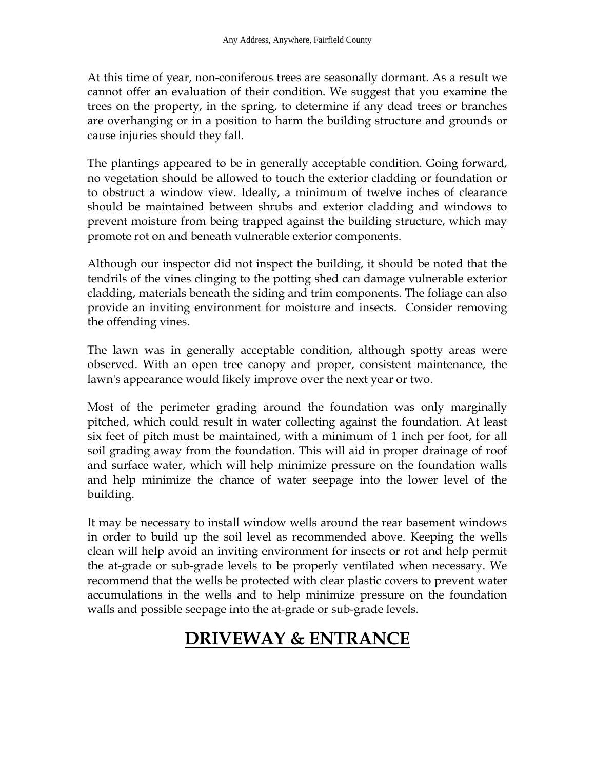At this time of year, non-coniferous trees are seasonally dormant. As a result we cannot offer an evaluation of their condition. We suggest that you examine the trees on the property, in the spring, to determine if any dead trees or branches are overhanging or in a position to harm the building structure and grounds or cause injuries should they fall.

The plantings appeared to be in generally acceptable condition. Going forward, no vegetation should be allowed to touch the exterior cladding or foundation or to obstruct a window view. Ideally, a minimum of twelve inches of clearance should be maintained between shrubs and exterior cladding and windows to prevent moisture from being trapped against the building structure, which may promote rot on and beneath vulnerable exterior components.

Although our inspector did not inspect the building, it should be noted that the tendrils of the vines clinging to the potting shed can damage vulnerable exterior cladding, materials beneath the siding and trim components. The foliage can also provide an inviting environment for moisture and insects. Consider removing the offending vines.

The lawn was in generally acceptable condition, although spotty areas were observed. With an open tree canopy and proper, consistent maintenance, the lawn's appearance would likely improve over the next year or two.

Most of the perimeter grading around the foundation was only marginally pitched, which could result in water collecting against the foundation. At least six feet of pitch must be maintained, with a minimum of 1 inch per foot, for all soil grading away from the foundation. This will aid in proper drainage of roof and surface water, which will help minimize pressure on the foundation walls and help minimize the chance of water seepage into the lower level of the building.

It may be necessary to install window wells around the rear basement windows in order to build up the soil level as recommended above. Keeping the wells clean will help avoid an inviting environment for insects or rot and help permit the at-grade or sub-grade levels to be properly ventilated when necessary. We recommend that the wells be protected with clear plastic covers to prevent water accumulations in the wells and to help minimize pressure on the foundation walls and possible seepage into the at-grade or sub-grade levels.

## **DRIVEWAY & ENTRANCE**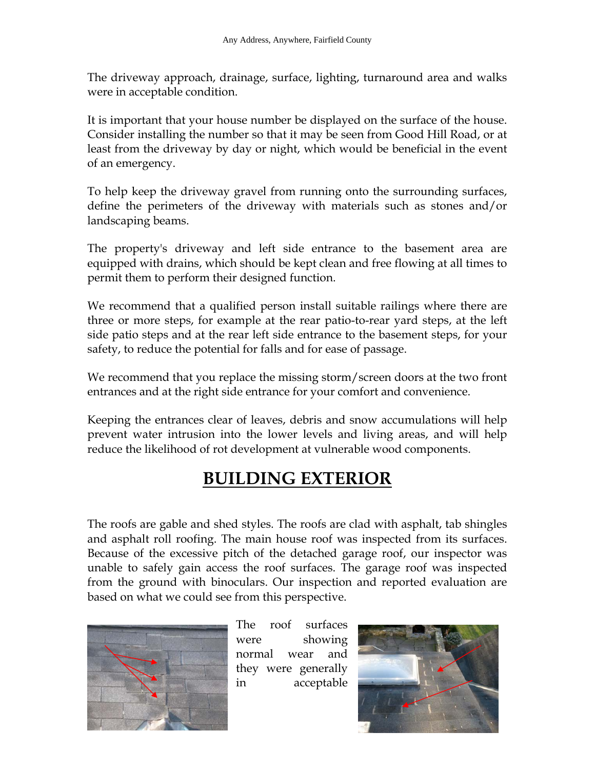The driveway approach, drainage, surface, lighting, turnaround area and walks were in acceptable condition.

It is important that your house number be displayed on the surface of the house. Consider installing the number so that it may be seen from Good Hill Road, or at least from the driveway by day or night, which would be beneficial in the event of an emergency.

To help keep the driveway gravel from running onto the surrounding surfaces, define the perimeters of the driveway with materials such as stones and/or landscaping beams.

The property's driveway and left side entrance to the basement area are equipped with drains, which should be kept clean and free flowing at all times to permit them to perform their designed function.

We recommend that a qualified person install suitable railings where there are three or more steps, for example at the rear patio-to-rear yard steps, at the left side patio steps and at the rear left side entrance to the basement steps, for your safety, to reduce the potential for falls and for ease of passage.

We recommend that you replace the missing storm/screen doors at the two front entrances and at the right side entrance for your comfort and convenience.

Keeping the entrances clear of leaves, debris and snow accumulations will help prevent water intrusion into the lower levels and living areas, and will help reduce the likelihood of rot development at vulnerable wood components.

# **BUILDING EXTERIOR**

The roofs are gable and shed styles. The roofs are clad with asphalt, tab shingles and asphalt roll roofing. The main house roof was inspected from its surfaces. Because of the excessive pitch of the detached garage roof, our inspector was unable to safely gain access the roof surfaces. The garage roof was inspected from the ground with binoculars. Our inspection and reported evaluation are based on what we could see from this perspective.



The roof surfaces were showing normal wear and they were generally in acceptable

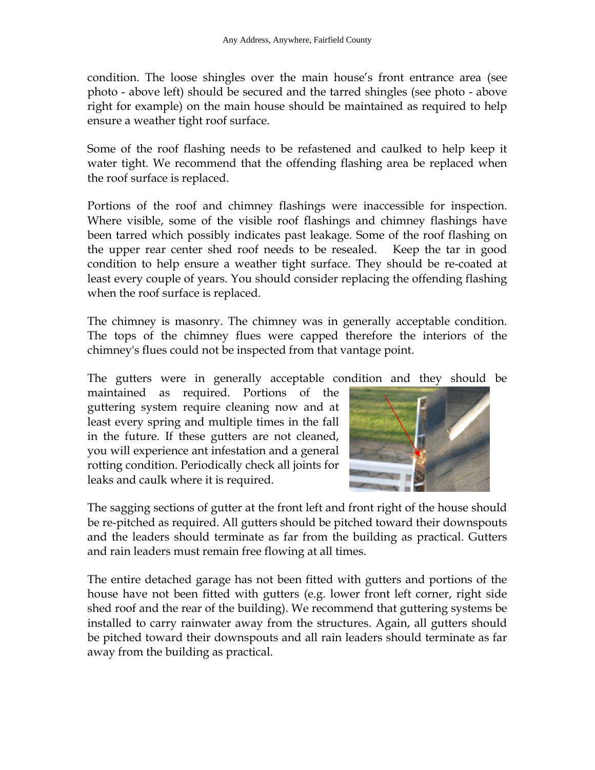condition. The loose shingles over the main house's front entrance area (see photo - above left) should be secured and the tarred shingles (see photo - above right for example) on the main house should be maintained as required to help ensure a weather tight roof surface.

Some of the roof flashing needs to be refastened and caulked to help keep it water tight. We recommend that the offending flashing area be replaced when the roof surface is replaced.

Portions of the roof and chimney flashings were inaccessible for inspection. Where visible, some of the visible roof flashings and chimney flashings have been tarred which possibly indicates past leakage. Some of the roof flashing on the upper rear center shed roof needs to be resealed. Keep the tar in good condition to help ensure a weather tight surface. They should be re-coated at least every couple of years. You should consider replacing the offending flashing when the roof surface is replaced.

The chimney is masonry. The chimney was in generally acceptable condition. The tops of the chimney flues were capped therefore the interiors of the chimney's flues could not be inspected from that vantage point.

The gutters were in generally acceptable condition and they should be

maintained as required. Portions of the guttering system require cleaning now and at least every spring and multiple times in the fall in the future. If these gutters are not cleaned, you will experience ant infestation and a general rotting condition. Periodically check all joints for leaks and caulk where it is required.



The sagging sections of gutter at the front left and front right of the house should be re-pitched as required. All gutters should be pitched toward their downspouts and the leaders should terminate as far from the building as practical. Gutters and rain leaders must remain free flowing at all times.

The entire detached garage has not been fitted with gutters and portions of the house have not been fitted with gutters (e.g. lower front left corner, right side shed roof and the rear of the building). We recommend that guttering systems be installed to carry rainwater away from the structures. Again, all gutters should be pitched toward their downspouts and all rain leaders should terminate as far away from the building as practical.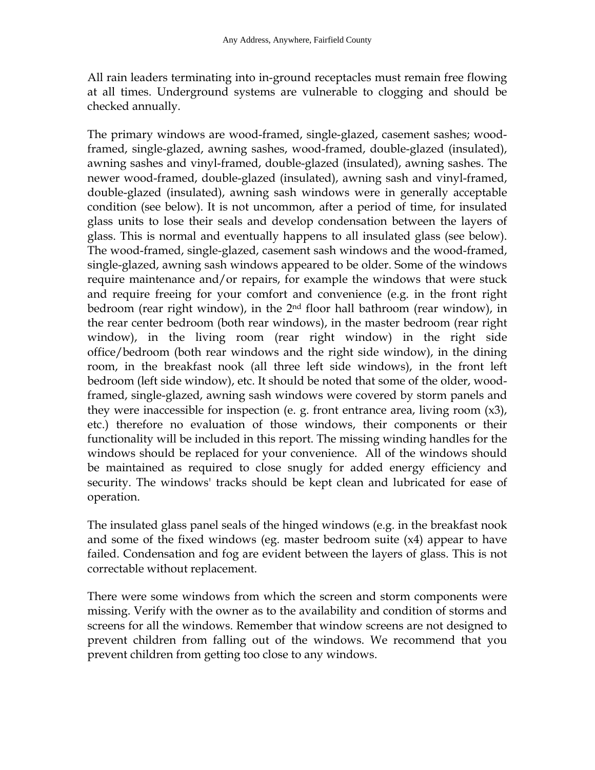All rain leaders terminating into in-ground receptacles must remain free flowing at all times. Underground systems are vulnerable to clogging and should be checked annually.

The primary windows are wood-framed, single-glazed, casement sashes; woodframed, single-glazed, awning sashes, wood-framed, double-glazed (insulated), awning sashes and vinyl-framed, double-glazed (insulated), awning sashes. The newer wood-framed, double-glazed (insulated), awning sash and vinyl-framed, double-glazed (insulated), awning sash windows were in generally acceptable condition (see below). It is not uncommon, after a period of time, for insulated glass units to lose their seals and develop condensation between the layers of glass. This is normal and eventually happens to all insulated glass (see below). The wood-framed, single-glazed, casement sash windows and the wood-framed, single-glazed, awning sash windows appeared to be older. Some of the windows require maintenance and/or repairs, for example the windows that were stuck and require freeing for your comfort and convenience (e.g. in the front right bedroom (rear right window), in the 2nd floor hall bathroom (rear window), in the rear center bedroom (both rear windows), in the master bedroom (rear right window), in the living room (rear right window) in the right side office/bedroom (both rear windows and the right side window), in the dining room, in the breakfast nook (all three left side windows), in the front left bedroom (left side window), etc. It should be noted that some of the older, woodframed, single-glazed, awning sash windows were covered by storm panels and they were inaccessible for inspection (e. g. front entrance area, living room (x3), etc.) therefore no evaluation of those windows, their components or their functionality will be included in this report. The missing winding handles for the windows should be replaced for your convenience. All of the windows should be maintained as required to close snugly for added energy efficiency and security. The windows' tracks should be kept clean and lubricated for ease of operation.

The insulated glass panel seals of the hinged windows (e.g. in the breakfast nook and some of the fixed windows (eg. master bedroom suite (x4) appear to have failed. Condensation and fog are evident between the layers of glass. This is not correctable without replacement.

There were some windows from which the screen and storm components were missing. Verify with the owner as to the availability and condition of storms and screens for all the windows. Remember that window screens are not designed to prevent children from falling out of the windows. We recommend that you prevent children from getting too close to any windows.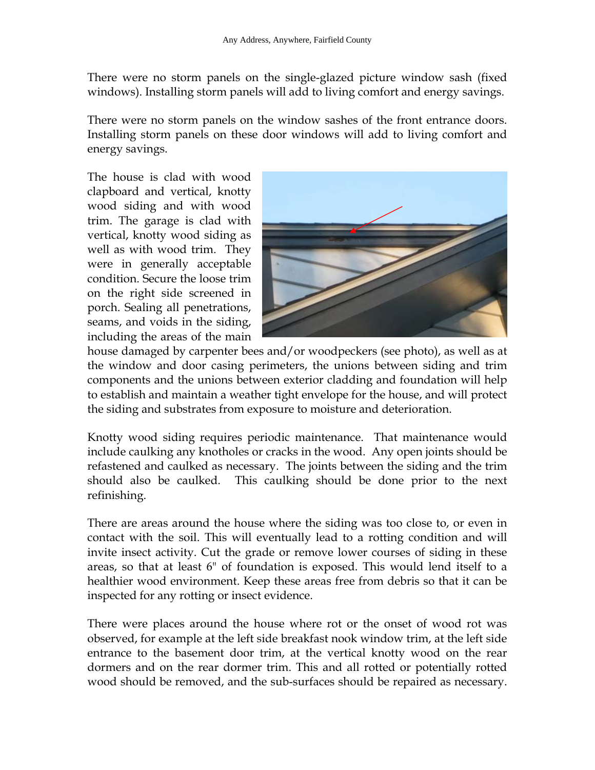There were no storm panels on the single-glazed picture window sash (fixed windows). Installing storm panels will add to living comfort and energy savings.

There were no storm panels on the window sashes of the front entrance doors. Installing storm panels on these door windows will add to living comfort and energy savings.

The house is clad with wood clapboard and vertical, knotty wood siding and with wood trim. The garage is clad with vertical, knotty wood siding as well as with wood trim. They were in generally acceptable condition. Secure the loose trim on the right side screened in porch. Sealing all penetrations, seams, and voids in the siding, including the areas of the main



house damaged by carpenter bees and/or woodpeckers (see photo), as well as at the window and door casing perimeters, the unions between siding and trim components and the unions between exterior cladding and foundation will help to establish and maintain a weather tight envelope for the house, and will protect the siding and substrates from exposure to moisture and deterioration.

Knotty wood siding requires periodic maintenance. That maintenance would include caulking any knotholes or cracks in the wood. Any open joints should be refastened and caulked as necessary. The joints between the siding and the trim should also be caulked. This caulking should be done prior to the next refinishing.

There are areas around the house where the siding was too close to, or even in contact with the soil. This will eventually lead to a rotting condition and will invite insect activity. Cut the grade or remove lower courses of siding in these areas, so that at least 6" of foundation is exposed. This would lend itself to a healthier wood environment. Keep these areas free from debris so that it can be inspected for any rotting or insect evidence.

There were places around the house where rot or the onset of wood rot was observed, for example at the left side breakfast nook window trim, at the left side entrance to the basement door trim, at the vertical knotty wood on the rear dormers and on the rear dormer trim. This and all rotted or potentially rotted wood should be removed, and the sub-surfaces should be repaired as necessary.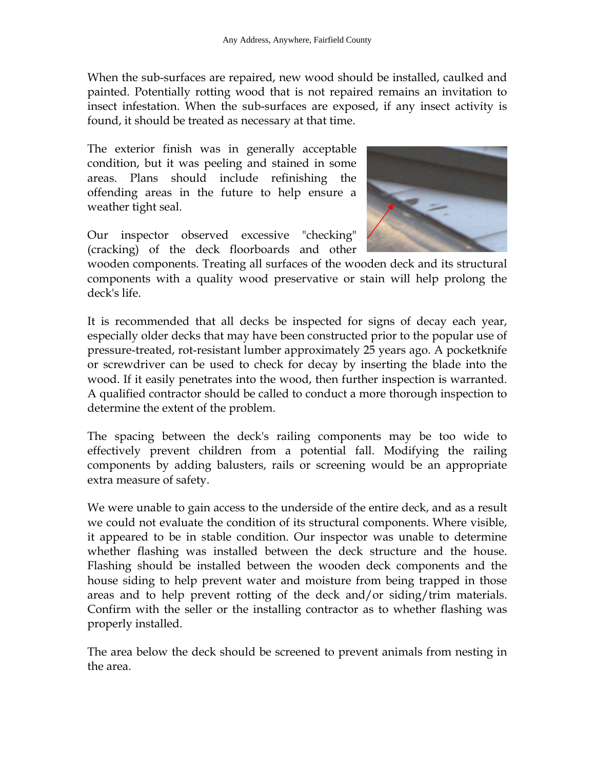When the sub-surfaces are repaired, new wood should be installed, caulked and painted. Potentially rotting wood that is not repaired remains an invitation to insect infestation. When the sub-surfaces are exposed, if any insect activity is found, it should be treated as necessary at that time.

The exterior finish was in generally acceptable condition, but it was peeling and stained in some areas. Plans should include refinishing the offending areas in the future to help ensure a weather tight seal.

Our inspector observed excessive "checking" (cracking) of the deck floorboards and other



wooden components. Treating all surfaces of the wooden deck and its structural components with a quality wood preservative or stain will help prolong the deck's life.

It is recommended that all decks be inspected for signs of decay each year, especially older decks that may have been constructed prior to the popular use of pressure-treated, rot-resistant lumber approximately 25 years ago. A pocketknife or screwdriver can be used to check for decay by inserting the blade into the wood. If it easily penetrates into the wood, then further inspection is warranted. A qualified contractor should be called to conduct a more thorough inspection to determine the extent of the problem.

The spacing between the deck's railing components may be too wide to effectively prevent children from a potential fall. Modifying the railing components by adding balusters, rails or screening would be an appropriate extra measure of safety.

We were unable to gain access to the underside of the entire deck, and as a result we could not evaluate the condition of its structural components. Where visible, it appeared to be in stable condition. Our inspector was unable to determine whether flashing was installed between the deck structure and the house. Flashing should be installed between the wooden deck components and the house siding to help prevent water and moisture from being trapped in those areas and to help prevent rotting of the deck and/or siding/trim materials. Confirm with the seller or the installing contractor as to whether flashing was properly installed.

The area below the deck should be screened to prevent animals from nesting in the area.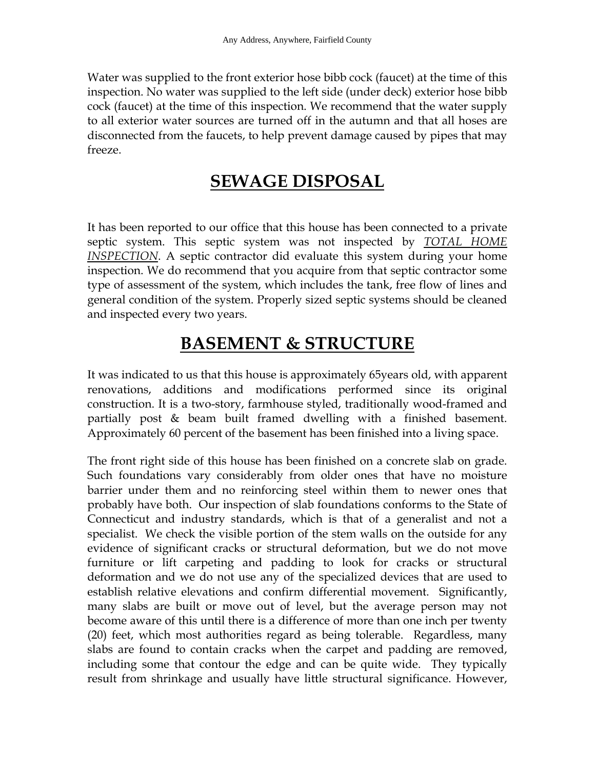Water was supplied to the front exterior hose bibb cock (faucet) at the time of this inspection. No water was supplied to the left side (under deck) exterior hose bibb cock (faucet) at the time of this inspection. We recommend that the water supply to all exterior water sources are turned off in the autumn and that all hoses are disconnected from the faucets, to help prevent damage caused by pipes that may freeze.

### **SEWAGE DISPOSAL**

It has been reported to our office that this house has been connected to a private septic system. This septic system was not inspected by *TOTAL HOME INSPECTION*. A septic contractor did evaluate this system during your home inspection. We do recommend that you acquire from that septic contractor some type of assessment of the system, which includes the tank, free flow of lines and general condition of the system. Properly sized septic systems should be cleaned and inspected every two years.

### **BASEMENT & STRUCTURE**

It was indicated to us that this house is approximately 65years old, with apparent renovations, additions and modifications performed since its original construction. It is a two-story, farmhouse styled, traditionally wood-framed and partially post & beam built framed dwelling with a finished basement. Approximately 60 percent of the basement has been finished into a living space.

The front right side of this house has been finished on a concrete slab on grade. Such foundations vary considerably from older ones that have no moisture barrier under them and no reinforcing steel within them to newer ones that probably have both. Our inspection of slab foundations conforms to the State of Connecticut and industry standards, which is that of a generalist and not a specialist. We check the visible portion of the stem walls on the outside for any evidence of significant cracks or structural deformation, but we do not move furniture or lift carpeting and padding to look for cracks or structural deformation and we do not use any of the specialized devices that are used to establish relative elevations and confirm differential movement. Significantly, many slabs are built or move out of level, but the average person may not become aware of this until there is a difference of more than one inch per twenty (20) feet, which most authorities regard as being tolerable. Regardless, many slabs are found to contain cracks when the carpet and padding are removed, including some that contour the edge and can be quite wide. They typically result from shrinkage and usually have little structural significance. However,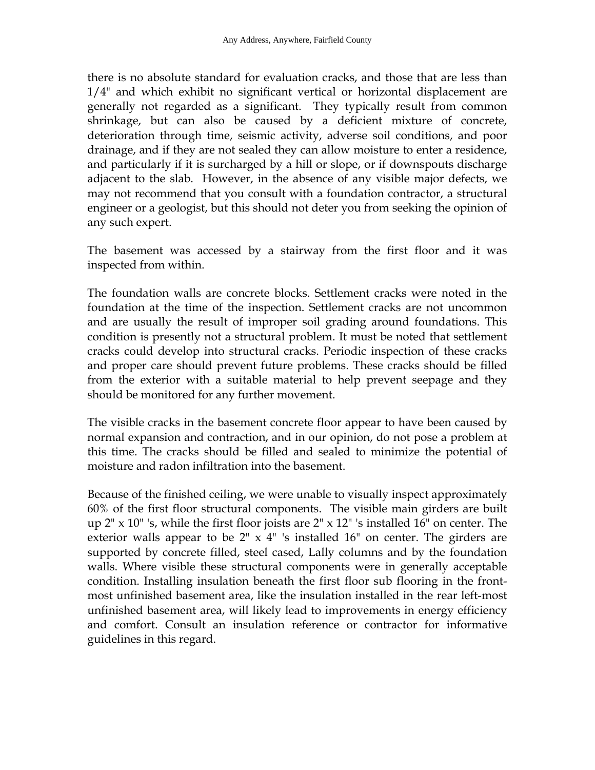there is no absolute standard for evaluation cracks, and those that are less than 1/4" and which exhibit no significant vertical or horizontal displacement are generally not regarded as a significant. They typically result from common shrinkage, but can also be caused by a deficient mixture of concrete, deterioration through time, seismic activity, adverse soil conditions, and poor drainage, and if they are not sealed they can allow moisture to enter a residence, and particularly if it is surcharged by a hill or slope, or if downspouts discharge adjacent to the slab. However, in the absence of any visible major defects, we may not recommend that you consult with a foundation contractor, a structural engineer or a geologist, but this should not deter you from seeking the opinion of any such expert.

The basement was accessed by a stairway from the first floor and it was inspected from within.

The foundation walls are concrete blocks. Settlement cracks were noted in the foundation at the time of the inspection. Settlement cracks are not uncommon and are usually the result of improper soil grading around foundations. This condition is presently not a structural problem. It must be noted that settlement cracks could develop into structural cracks. Periodic inspection of these cracks and proper care should prevent future problems. These cracks should be filled from the exterior with a suitable material to help prevent seepage and they should be monitored for any further movement.

The visible cracks in the basement concrete floor appear to have been caused by normal expansion and contraction, and in our opinion, do not pose a problem at this time. The cracks should be filled and sealed to minimize the potential of moisture and radon infiltration into the basement.

Because of the finished ceiling, we were unable to visually inspect approximately 60% of the first floor structural components. The visible main girders are built up  $2'' \times 10''$  's, while the first floor joists are  $2'' \times 12''$  's installed 16" on center. The exterior walls appear to be  $2^{\prime\prime} \times 4^{\prime\prime}$  's installed 16" on center. The girders are supported by concrete filled, steel cased, Lally columns and by the foundation walls. Where visible these structural components were in generally acceptable condition. Installing insulation beneath the first floor sub flooring in the frontmost unfinished basement area, like the insulation installed in the rear left-most unfinished basement area, will likely lead to improvements in energy efficiency and comfort. Consult an insulation reference or contractor for informative guidelines in this regard.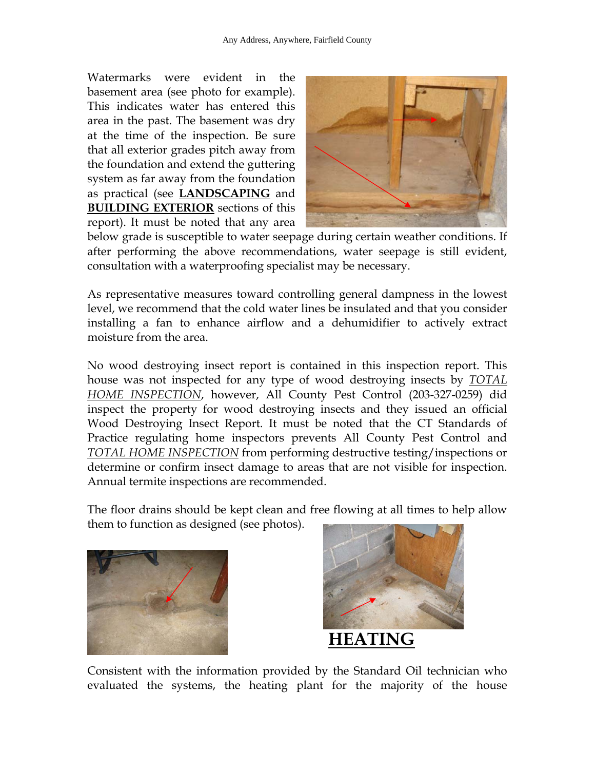Watermarks were evident in the basement area (see photo for example). This indicates water has entered this area in the past. The basement was dry at the time of the inspection. Be sure that all exterior grades pitch away from the foundation and extend the guttering system as far away from the foundation as practical (see **LANDSCAPING** and **BUILDING EXTERIOR** sections of this report). It must be noted that any area



below grade is susceptible to water seepage during certain weather conditions. If after performing the above recommendations, water seepage is still evident, consultation with a waterproofing specialist may be necessary.

As representative measures toward controlling general dampness in the lowest level, we recommend that the cold water lines be insulated and that you consider installing a fan to enhance airflow and a dehumidifier to actively extract moisture from the area.

No wood destroying insect report is contained in this inspection report. This house was not inspected for any type of wood destroying insects by *TOTAL HOME INSPECTION*, however, All County Pest Control (203-327-0259) did inspect the property for wood destroying insects and they issued an official Wood Destroying Insect Report. It must be noted that the CT Standards of Practice regulating home inspectors prevents All County Pest Control and *TOTAL HOME INSPECTION* from performing destructive testing/inspections or determine or confirm insect damage to areas that are not visible for inspection. Annual termite inspections are recommended.

The floor drains should be kept clean and free flowing at all times to help allow them to function as designed (see photos).





Consistent with the information provided by the Standard Oil technician who evaluated the systems, the heating plant for the majority of the house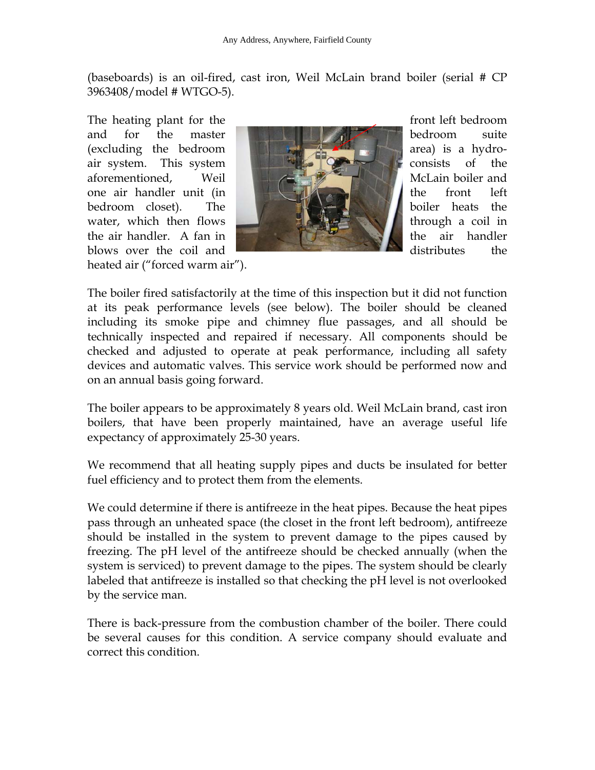(baseboards) is an oil-fired, cast iron, Weil McLain brand boiler (serial # CP 3963408/model # WTGO-5).

heated air ("forced warm air").



The boiler fired satisfactorily at the time of this inspection but it did not function at its peak performance levels (see below). The boiler should be cleaned including its smoke pipe and chimney flue passages, and all should be technically inspected and repaired if necessary. All components should be checked and adjusted to operate at peak performance, including all safety devices and automatic valves. This service work should be performed now and on an annual basis going forward.

The boiler appears to be approximately 8 years old. Weil McLain brand, cast iron boilers, that have been properly maintained, have an average useful life expectancy of approximately 25-30 years.

We recommend that all heating supply pipes and ducts be insulated for better fuel efficiency and to protect them from the elements.

We could determine if there is antifreeze in the heat pipes. Because the heat pipes pass through an unheated space (the closet in the front left bedroom), antifreeze should be installed in the system to prevent damage to the pipes caused by freezing. The pH level of the antifreeze should be checked annually (when the system is serviced) to prevent damage to the pipes. The system should be clearly labeled that antifreeze is installed so that checking the pH level is not overlooked by the service man.

There is back-pressure from the combustion chamber of the boiler. There could be several causes for this condition. A service company should evaluate and correct this condition.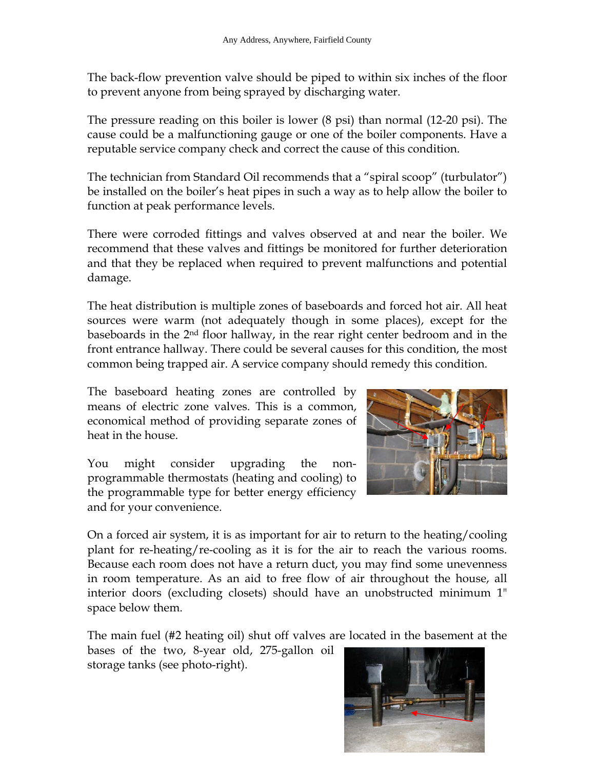The back-flow prevention valve should be piped to within six inches of the floor to prevent anyone from being sprayed by discharging water.

The pressure reading on this boiler is lower (8 psi) than normal (12-20 psi). The cause could be a malfunctioning gauge or one of the boiler components. Have a reputable service company check and correct the cause of this condition.

The technician from Standard Oil recommends that a "spiral scoop" (turbulator") be installed on the boiler's heat pipes in such a way as to help allow the boiler to function at peak performance levels.

There were corroded fittings and valves observed at and near the boiler. We recommend that these valves and fittings be monitored for further deterioration and that they be replaced when required to prevent malfunctions and potential damage.

The heat distribution is multiple zones of baseboards and forced hot air. All heat sources were warm (not adequately though in some places), except for the baseboards in the 2nd floor hallway, in the rear right center bedroom and in the front entrance hallway. There could be several causes for this condition, the most common being trapped air. A service company should remedy this condition.

The baseboard heating zones are controlled by means of electric zone valves. This is a common, economical method of providing separate zones of heat in the house.

You might consider upgrading the nonprogrammable thermostats (heating and cooling) to the programmable type for better energy efficiency and for your convenience.



On a forced air system, it is as important for air to return to the heating/cooling plant for re-heating/re-cooling as it is for the air to reach the various rooms. Because each room does not have a return duct, you may find some unevenness in room temperature. As an aid to free flow of air throughout the house, all interior doors (excluding closets) should have an unobstructed minimum 1" space below them.

The main fuel (#2 heating oil) shut off valves are located in the basement at the

bases of the two, 8-year old, 275-gallon oil storage tanks (see photo-right).

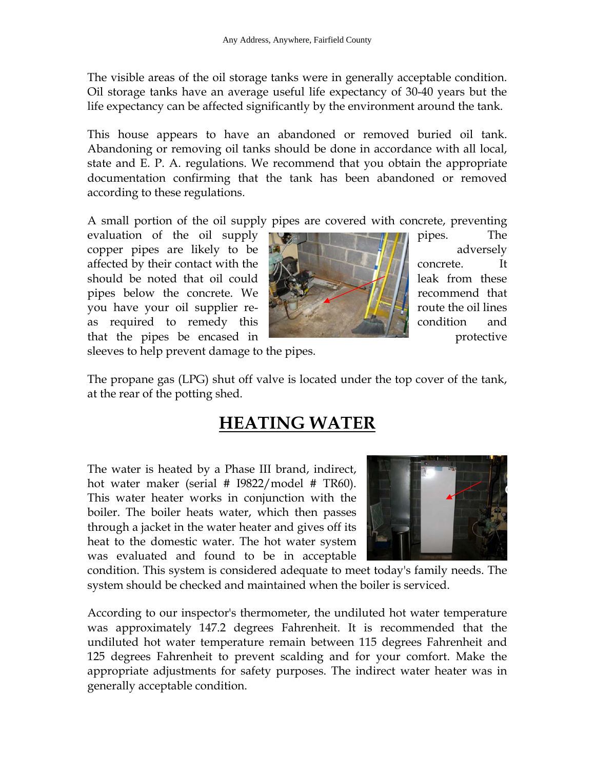The visible areas of the oil storage tanks were in generally acceptable condition. Oil storage tanks have an average useful life expectancy of 30-40 years but the life expectancy can be affected significantly by the environment around the tank.

This house appears to have an abandoned or removed buried oil tank. Abandoning or removing oil tanks should be done in accordance with all local, state and E. P. A. regulations. We recommend that you obtain the appropriate documentation confirming that the tank has been abandoned or removed according to these regulations.

A small portion of the oil supply pipes are covered with concrete, preventing

evaluation of the oil supply **pipes**. The copper pipes are likely to be  $\mathbb{R}$   $\mathbb{R}$  adversely affected by their contact with the  $\mathbb{Z}$   $\mathbb{Z}$  affected by their contact with the  $\mathbb{Z}$ should be noted that oil could  $\mathcal{L}$  and  $\mathcal{L}$  and  $\mathcal{L}$  leak from these pipes below the concrete. We **recommend that** recommend that you have your oil supplier reas required to remedy this  $\begin{bmatrix} 1 & 1 \\ 1 & 1 \end{bmatrix}$  condition and that the pipes be encased in **protective** protective



sleeves to help prevent damage to the pipes.

The propane gas (LPG) shut off valve is located under the top cover of the tank, at the rear of the potting shed.

## **HEATING WATER**

The water is heated by a Phase III brand, indirect, hot water maker (serial # I9822/model # TR60). This water heater works in conjunction with the boiler. The boiler heats water, which then passes through a jacket in the water heater and gives off its heat to the domestic water. The hot water system was evaluated and found to be in acceptable



condition. This system is considered adequate to meet today's family needs. The system should be checked and maintained when the boiler is serviced.

According to our inspector's thermometer, the undiluted hot water temperature was approximately 147.2 degrees Fahrenheit. It is recommended that the undiluted hot water temperature remain between 115 degrees Fahrenheit and 125 degrees Fahrenheit to prevent scalding and for your comfort. Make the appropriate adjustments for safety purposes. The indirect water heater was in generally acceptable condition.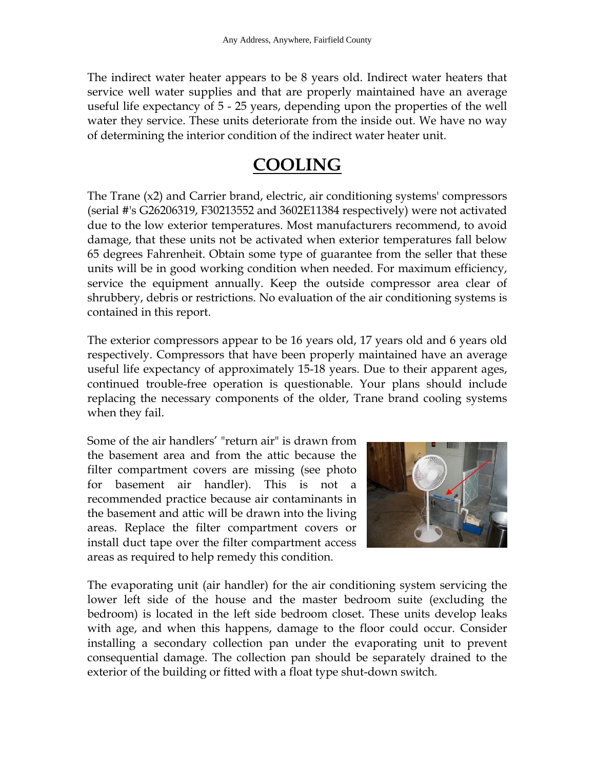The indirect water heater appears to be 8 years old. Indirect water heaters that service well water supplies and that are properly maintained have an average useful life expectancy of 5 - 25 years, depending upon the properties of the well water they service. These units deteriorate from the inside out. We have no way of determining the interior condition of the indirect water heater unit.

### **COOLING**

The Trane (x2) and Carrier brand, electric, air conditioning systems' compressors (serial #'s G26206319, F30213552 and 3602E11384 respectively) were not activated due to the low exterior temperatures. Most manufacturers recommend, to avoid damage, that these units not be activated when exterior temperatures fall below 65 degrees Fahrenheit. Obtain some type of guarantee from the seller that these units will be in good working condition when needed. For maximum efficiency, service the equipment annually. Keep the outside compressor area clear of shrubbery, debris or restrictions. No evaluation of the air conditioning systems is contained in this report.

The exterior compressors appear to be 16 years old, 17 years old and 6 years old respectively. Compressors that have been properly maintained have an average useful life expectancy of approximately 15-18 years. Due to their apparent ages, continued trouble-free operation is questionable. Your plans should include replacing the necessary components of the older, Trane brand cooling systems when they fail.

Some of the air handlers' "return air" is drawn from the basement area and from the attic because the filter compartment covers are missing (see photo for basement air handler). This is not a recommended practice because air contaminants in the basement and attic will be drawn into the living areas. Replace the filter compartment covers or install duct tape over the filter compartment access areas as required to help remedy this condition.



The evaporating unit (air handler) for the air conditioning system servicing the lower left side of the house and the master bedroom suite (excluding the bedroom) is located in the left side bedroom closet. These units develop leaks with age, and when this happens, damage to the floor could occur. Consider installing a secondary collection pan under the evaporating unit to prevent consequential damage. The collection pan should be separately drained to the exterior of the building or fitted with a float type shut-down switch.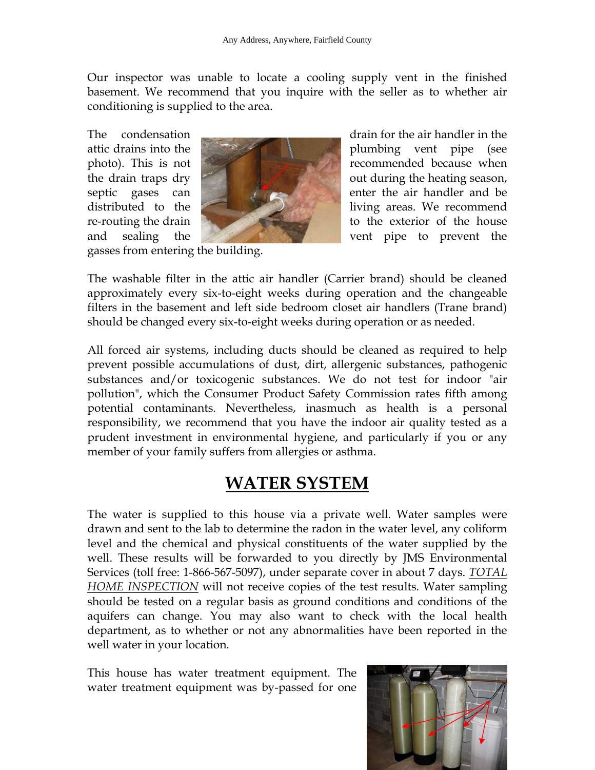Our inspector was unable to locate a cooling supply vent in the finished basement. We recommend that you inquire with the seller as to whether air conditioning is supplied to the area.



The condensation <u>\_\_\_\_\_\_\_\_\_\_\_\_\_\_\_\_\_\_\_\_\_</u> drain for the air handler in the attic drains into the plumbing vent pipe (see photo). This is not the drain traps  $\text{dry}$  out during the heating season, septic gases can **be allowed a** enter the air handler and be distributed to the **living** areas. We recommend re-routing the drain to the exterior of the house and sealing the vent pipe to prevent the

gasses from entering the building.

The washable filter in the attic air handler (Carrier brand) should be cleaned approximately every six-to-eight weeks during operation and the changeable filters in the basement and left side bedroom closet air handlers (Trane brand) should be changed every six-to-eight weeks during operation or as needed.

All forced air systems, including ducts should be cleaned as required to help prevent possible accumulations of dust, dirt, allergenic substances, pathogenic substances and/or toxicogenic substances. We do not test for indoor "air pollution", which the Consumer Product Safety Commission rates fifth among potential contaminants. Nevertheless, inasmuch as health is a personal responsibility, we recommend that you have the indoor air quality tested as a prudent investment in environmental hygiene, and particularly if you or any member of your family suffers from allergies or asthma.

#### **WATER SYSTEM**

The water is supplied to this house via a private well. Water samples were drawn and sent to the lab to determine the radon in the water level, any coliform level and the chemical and physical constituents of the water supplied by the well. These results will be forwarded to you directly by JMS Environmental Services (toll free: 1-866-567-5097), under separate cover in about 7 days. *TOTAL HOME INSPECTION* will not receive copies of the test results. Water sampling should be tested on a regular basis as ground conditions and conditions of the aquifers can change. You may also want to check with the local health department, as to whether or not any abnormalities have been reported in the well water in your location.

This house has water treatment equipment. The water treatment equipment was by-passed for one

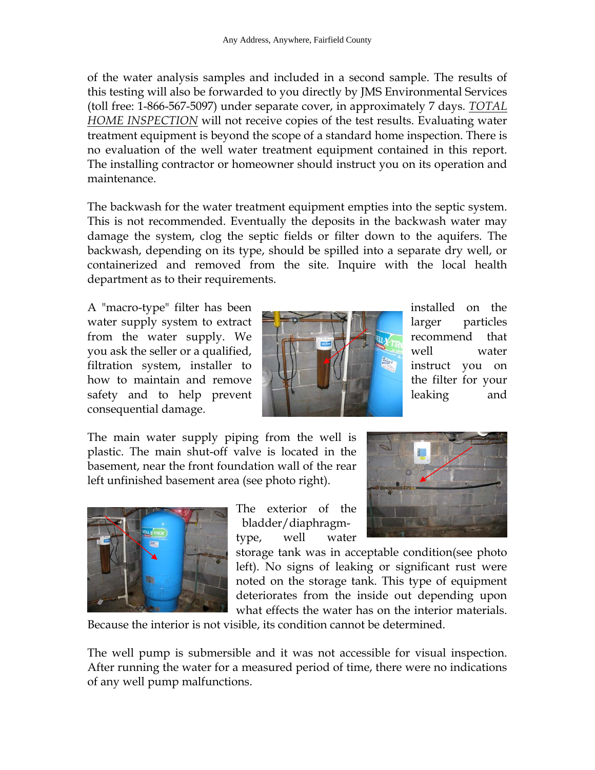of the water analysis samples and included in a second sample. The results of this testing will also be forwarded to you directly by JMS Environmental Services (toll free: 1-866-567-5097) under separate cover, in approximately 7 days. *TOTAL HOME INSPECTION* will not receive copies of the test results. Evaluating water treatment equipment is beyond the scope of a standard home inspection. There is no evaluation of the well water treatment equipment contained in this report. The installing contractor or homeowner should instruct you on its operation and maintenance.

The backwash for the water treatment equipment empties into the septic system. This is not recommended. Eventually the deposits in the backwash water may damage the system, clog the septic fields or filter down to the aquifers. The backwash, depending on its type, should be spilled into a separate dry well, or containerized and removed from the site. Inquire with the local health department as to their requirements.

A "macro-type" filter has been installed on the water supply system to extract  $\Box$   $\Box$   $\Box$   $\Box$  arger particles from the water supply. We recommend that you ask the seller or a qualified,  $\| \cdot \|$  well water filtration system, installer to **instruct** the instruct you on how to maintain and remove  $\mathbb{R}$  the filter for your safety and to help prevent **leaking** and leaking and consequential damage.



The main water supply piping from the well is plastic. The main shut-off valve is located in the basement, near the front foundation wall of the rear left unfinished basement area (see photo right).



The exterior of the bladder/diaphragmtype, well water



storage tank was in acceptable condition(see photo left). No signs of leaking or significant rust were noted on the storage tank. This type of equipment deteriorates from the inside out depending upon what effects the water has on the interior materials.

Because the interior is not visible, its condition cannot be determined.

The well pump is submersible and it was not accessible for visual inspection. After running the water for a measured period of time, there were no indications of any well pump malfunctions.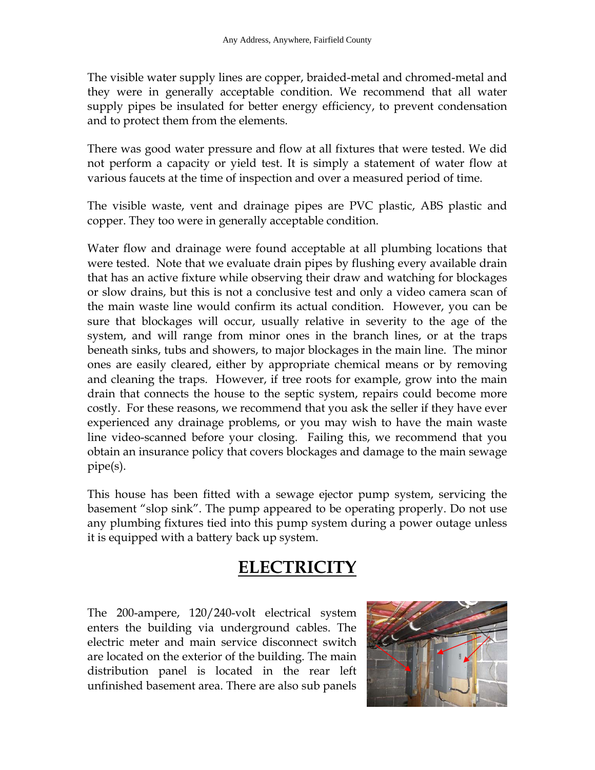The visible water supply lines are copper, braided-metal and chromed-metal and they were in generally acceptable condition. We recommend that all water supply pipes be insulated for better energy efficiency, to prevent condensation and to protect them from the elements.

There was good water pressure and flow at all fixtures that were tested. We did not perform a capacity or yield test. It is simply a statement of water flow at various faucets at the time of inspection and over a measured period of time.

The visible waste, vent and drainage pipes are PVC plastic, ABS plastic and copper. They too were in generally acceptable condition.

Water flow and drainage were found acceptable at all plumbing locations that were tested. Note that we evaluate drain pipes by flushing every available drain that has an active fixture while observing their draw and watching for blockages or slow drains, but this is not a conclusive test and only a video camera scan of the main waste line would confirm its actual condition. However, you can be sure that blockages will occur, usually relative in severity to the age of the system, and will range from minor ones in the branch lines, or at the traps beneath sinks, tubs and showers, to major blockages in the main line. The minor ones are easily cleared, either by appropriate chemical means or by removing and cleaning the traps. However, if tree roots for example, grow into the main drain that connects the house to the septic system, repairs could become more costly. For these reasons, we recommend that you ask the seller if they have ever experienced any drainage problems, or you may wish to have the main waste line video-scanned before your closing. Failing this, we recommend that you obtain an insurance policy that covers blockages and damage to the main sewage pipe(s).

This house has been fitted with a sewage ejector pump system, servicing the basement "slop sink". The pump appeared to be operating properly. Do not use any plumbing fixtures tied into this pump system during a power outage unless it is equipped with a battery back up system.

## **ELECTRICITY**

The 200-ampere, 120/240-volt electrical system enters the building via underground cables. The electric meter and main service disconnect switch are located on the exterior of the building. The main distribution panel is located in the rear left unfinished basement area. There are also sub panels

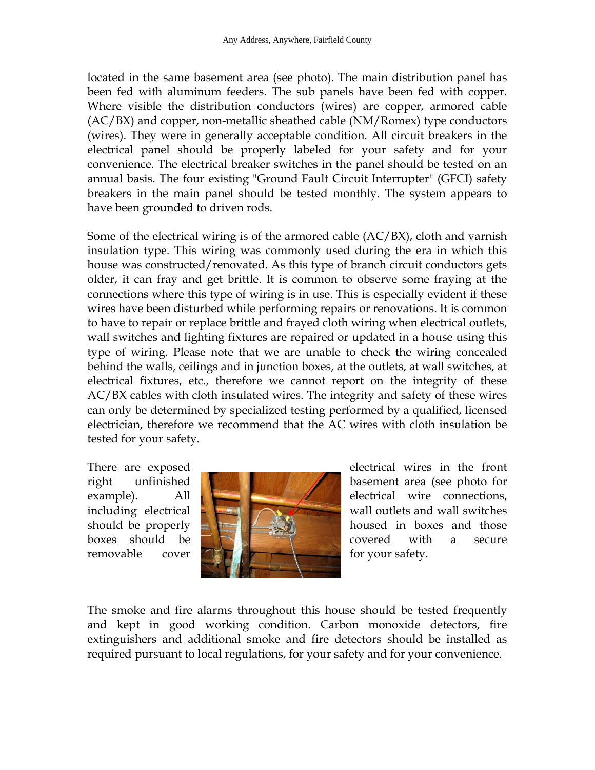located in the same basement area (see photo). The main distribution panel has been fed with aluminum feeders. The sub panels have been fed with copper. Where visible the distribution conductors (wires) are copper, armored cable (AC/BX) and copper, non-metallic sheathed cable (NM/Romex) type conductors (wires). They were in generally acceptable condition. All circuit breakers in the electrical panel should be properly labeled for your safety and for your convenience. The electrical breaker switches in the panel should be tested on an annual basis. The four existing "Ground Fault Circuit Interrupter" (GFCI) safety breakers in the main panel should be tested monthly. The system appears to have been grounded to driven rods.

Some of the electrical wiring is of the armored cable (AC/BX), cloth and varnish insulation type. This wiring was commonly used during the era in which this house was constructed/renovated. As this type of branch circuit conductors gets older, it can fray and get brittle. It is common to observe some fraying at the connections where this type of wiring is in use. This is especially evident if these wires have been disturbed while performing repairs or renovations. It is common to have to repair or replace brittle and frayed cloth wiring when electrical outlets, wall switches and lighting fixtures are repaired or updated in a house using this type of wiring. Please note that we are unable to check the wiring concealed behind the walls, ceilings and in junction boxes, at the outlets, at wall switches, at electrical fixtures, etc., therefore we cannot report on the integrity of these AC/BX cables with cloth insulated wires. The integrity and safety of these wires can only be determined by specialized testing performed by a qualified, licensed electrician, therefore we recommend that the AC wires with cloth insulation be tested for your safety.



There are exposed electrical wires in the front right unfinished **basement** area (see photo for example). All **Electrical** wire connections, including electrical  $\Box$  wall outlets and wall switches should be properly **the state of the state of the state of the state of the state of the state of the state of the state of the state of the state of the state of the state of the state of the state of the state of the sta** boxes should be **covered** covered with a secure

The smoke and fire alarms throughout this house should be tested frequently and kept in good working condition. Carbon monoxide detectors, fire extinguishers and additional smoke and fire detectors should be installed as required pursuant to local regulations, for your safety and for your convenience.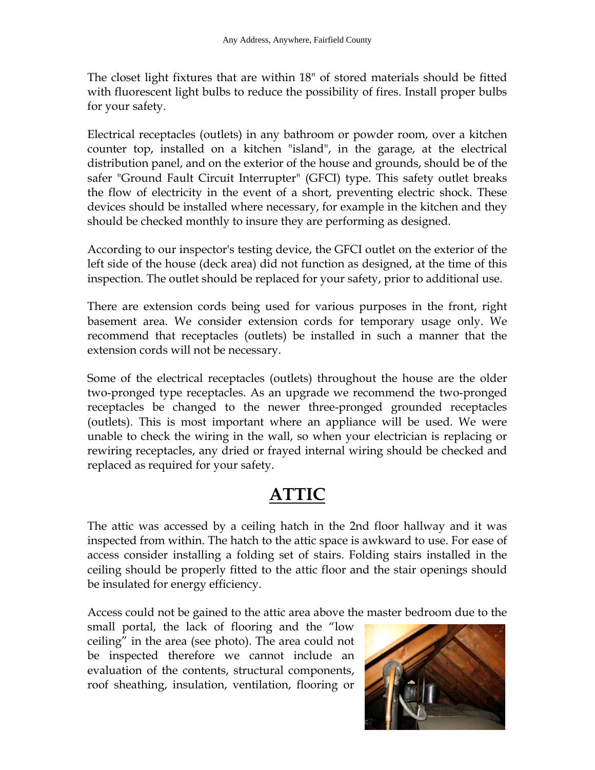The closet light fixtures that are within 18" of stored materials should be fitted with fluorescent light bulbs to reduce the possibility of fires. Install proper bulbs for your safety.

Electrical receptacles (outlets) in any bathroom or powder room, over a kitchen counter top, installed on a kitchen "island", in the garage, at the electrical distribution panel, and on the exterior of the house and grounds, should be of the safer "Ground Fault Circuit Interrupter" (GFCI) type. This safety outlet breaks the flow of electricity in the event of a short, preventing electric shock. These devices should be installed where necessary, for example in the kitchen and they should be checked monthly to insure they are performing as designed.

According to our inspector's testing device, the GFCI outlet on the exterior of the left side of the house (deck area) did not function as designed, at the time of this inspection. The outlet should be replaced for your safety, prior to additional use.

There are extension cords being used for various purposes in the front, right basement area. We consider extension cords for temporary usage only. We recommend that receptacles (outlets) be installed in such a manner that the extension cords will not be necessary.

Some of the electrical receptacles (outlets) throughout the house are the older two-pronged type receptacles. As an upgrade we recommend the two-pronged receptacles be changed to the newer three-pronged grounded receptacles (outlets). This is most important where an appliance will be used. We were unable to check the wiring in the wall, so when your electrician is replacing or rewiring receptacles, any dried or frayed internal wiring should be checked and replaced as required for your safety.

## **ATTIC**

The attic was accessed by a ceiling hatch in the 2nd floor hallway and it was inspected from within. The hatch to the attic space is awkward to use. For ease of access consider installing a folding set of stairs. Folding stairs installed in the ceiling should be properly fitted to the attic floor and the stair openings should be insulated for energy efficiency.

Access could not be gained to the attic area above the master bedroom due to the

small portal, the lack of flooring and the "low ceiling" in the area (see photo). The area could not be inspected therefore we cannot include an evaluation of the contents, structural components, roof sheathing, insulation, ventilation, flooring or

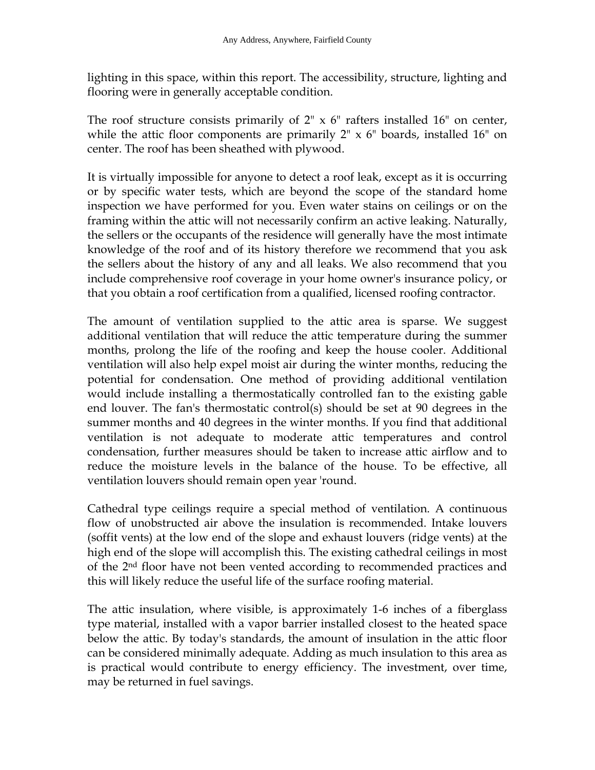lighting in this space, within this report. The accessibility, structure, lighting and flooring were in generally acceptable condition.

The roof structure consists primarily of  $2^{\prime\prime} \times 6^{\prime\prime}$  rafters installed 16<sup> $\prime\prime$ </sup> on center, while the attic floor components are primarily  $2'' \times 6''$  boards, installed 16" on center. The roof has been sheathed with plywood.

It is virtually impossible for anyone to detect a roof leak, except as it is occurring or by specific water tests, which are beyond the scope of the standard home inspection we have performed for you. Even water stains on ceilings or on the framing within the attic will not necessarily confirm an active leaking. Naturally, the sellers or the occupants of the residence will generally have the most intimate knowledge of the roof and of its history therefore we recommend that you ask the sellers about the history of any and all leaks. We also recommend that you include comprehensive roof coverage in your home owner's insurance policy, or that you obtain a roof certification from a qualified, licensed roofing contractor.

The amount of ventilation supplied to the attic area is sparse. We suggest additional ventilation that will reduce the attic temperature during the summer months, prolong the life of the roofing and keep the house cooler. Additional ventilation will also help expel moist air during the winter months, reducing the potential for condensation. One method of providing additional ventilation would include installing a thermostatically controlled fan to the existing gable end louver. The fan's thermostatic control(s) should be set at 90 degrees in the summer months and 40 degrees in the winter months. If you find that additional ventilation is not adequate to moderate attic temperatures and control condensation, further measures should be taken to increase attic airflow and to reduce the moisture levels in the balance of the house. To be effective, all ventilation louvers should remain open year 'round.

Cathedral type ceilings require a special method of ventilation. A continuous flow of unobstructed air above the insulation is recommended. Intake louvers (soffit vents) at the low end of the slope and exhaust louvers (ridge vents) at the high end of the slope will accomplish this. The existing cathedral ceilings in most of the 2nd floor have not been vented according to recommended practices and this will likely reduce the useful life of the surface roofing material.

The attic insulation, where visible, is approximately 1-6 inches of a fiberglass type material, installed with a vapor barrier installed closest to the heated space below the attic. By today's standards, the amount of insulation in the attic floor can be considered minimally adequate. Adding as much insulation to this area as is practical would contribute to energy efficiency. The investment, over time, may be returned in fuel savings.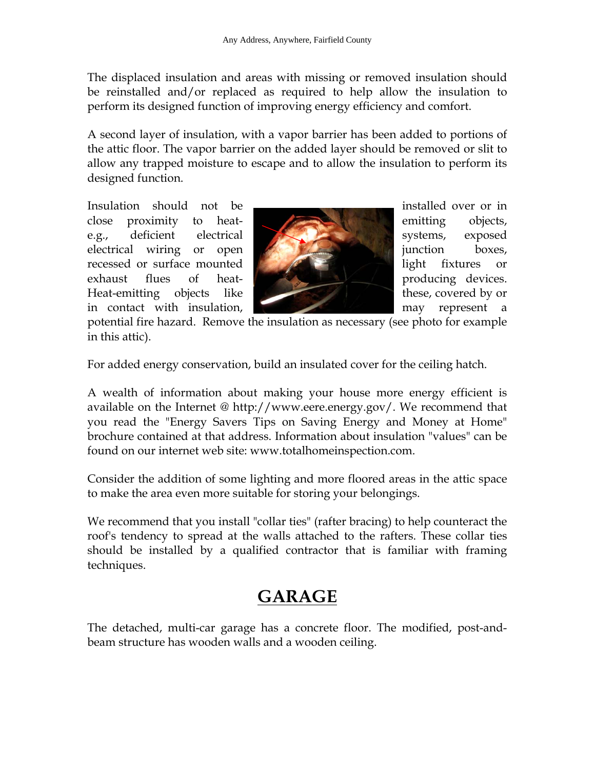The displaced insulation and areas with missing or removed insulation should be reinstalled and/or replaced as required to help allow the insulation to perform its designed function of improving energy efficiency and comfort.

A second layer of insulation, with a vapor barrier has been added to portions of the attic floor. The vapor barrier on the added layer should be removed or slit to allow any trapped moisture to escape and to allow the insulation to perform its designed function.

Insulation should not be **interest of the installed** over or in close proximity to heat- emitting objects, e.g., deficient electrical systems, exposed electrical wiring or open **interest of the set of the set of the set of the set of the set of the set of the set of the set of the set of the set of the set of the set of the set of the set of the set of the set of the set** recessed or surface mounted light fixtures or exhaust flues of heat- **producing devices**. Heat-emitting objects like these, covered by or in contact with insulation, may represent a



potential fire hazard. Remove the insulation as necessary (see photo for example in this attic).

For added energy conservation, build an insulated cover for the ceiling hatch.

A wealth of information about making your house more energy efficient is available on the Internet @ http://www.eere.energy.gov/. We recommend that you read the "Energy Savers Tips on Saving Energy and Money at Home" brochure contained at that address. Information about insulation "values" can be found on our internet web site: www.totalhomeinspection.com.

Consider the addition of some lighting and more floored areas in the attic space to make the area even more suitable for storing your belongings.

We recommend that you install "collar ties" (rafter bracing) to help counteract the roof's tendency to spread at the walls attached to the rafters. These collar ties should be installed by a qualified contractor that is familiar with framing techniques.

## **GARAGE**

The detached, multi-car garage has a concrete floor. The modified, post-andbeam structure has wooden walls and a wooden ceiling.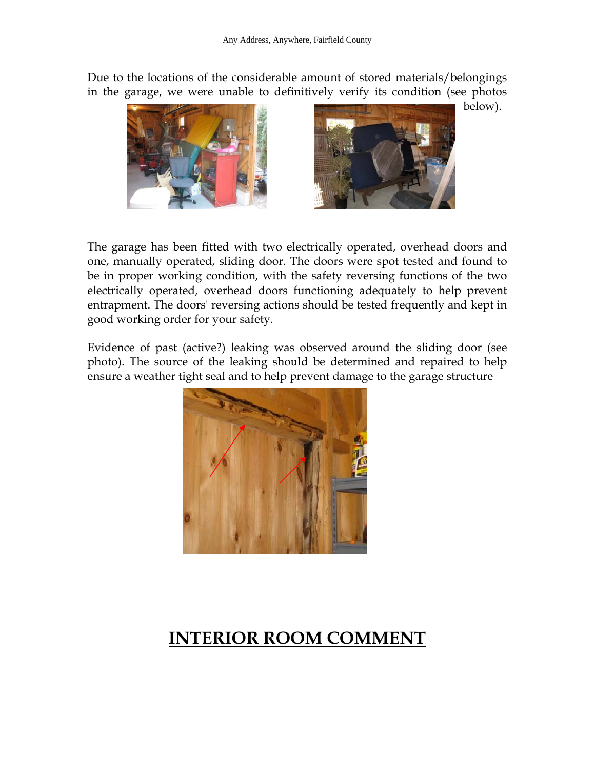Due to the locations of the considerable amount of stored materials/belongings in the garage, we were unable to definitively verify its condition (see photos





The garage has been fitted with two electrically operated, overhead doors and one, manually operated, sliding door. The doors were spot tested and found to be in proper working condition, with the safety reversing functions of the two electrically operated, overhead doors functioning adequately to help prevent entrapment. The doors' reversing actions should be tested frequently and kept in good working order for your safety.

Evidence of past (active?) leaking was observed around the sliding door (see photo). The source of the leaking should be determined and repaired to help ensure a weather tight seal and to help prevent damage to the garage structure



## **INTERIOR ROOM COMMENT**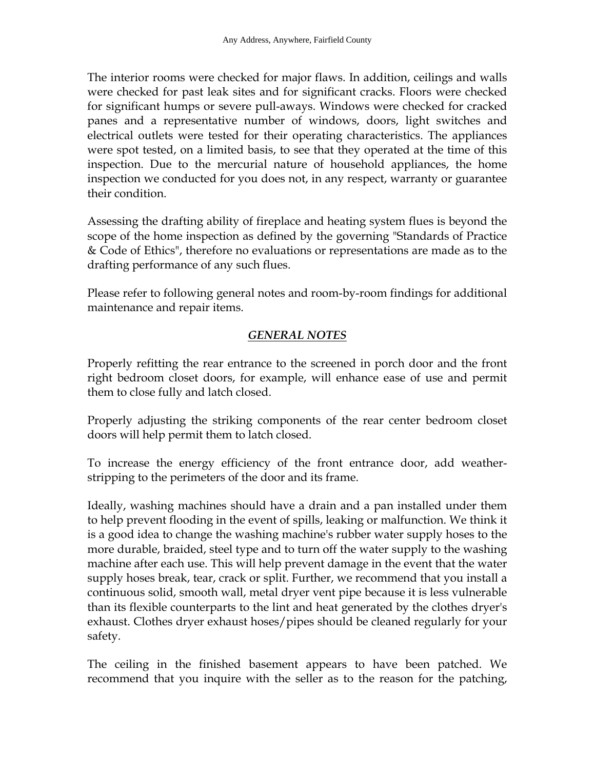The interior rooms were checked for major flaws. In addition, ceilings and walls were checked for past leak sites and for significant cracks. Floors were checked for significant humps or severe pull-aways. Windows were checked for cracked panes and a representative number of windows, doors, light switches and electrical outlets were tested for their operating characteristics. The appliances were spot tested, on a limited basis, to see that they operated at the time of this inspection. Due to the mercurial nature of household appliances, the home inspection we conducted for you does not, in any respect, warranty or guarantee their condition.

Assessing the drafting ability of fireplace and heating system flues is beyond the scope of the home inspection as defined by the governing "Standards of Practice & Code of Ethics", therefore no evaluations or representations are made as to the drafting performance of any such flues.

Please refer to following general notes and room-by-room findings for additional maintenance and repair items.

#### *GENERAL NOTES*

Properly refitting the rear entrance to the screened in porch door and the front right bedroom closet doors, for example, will enhance ease of use and permit them to close fully and latch closed.

Properly adjusting the striking components of the rear center bedroom closet doors will help permit them to latch closed.

To increase the energy efficiency of the front entrance door, add weatherstripping to the perimeters of the door and its frame.

Ideally, washing machines should have a drain and a pan installed under them to help prevent flooding in the event of spills, leaking or malfunction. We think it is a good idea to change the washing machine's rubber water supply hoses to the more durable, braided, steel type and to turn off the water supply to the washing machine after each use. This will help prevent damage in the event that the water supply hoses break, tear, crack or split. Further, we recommend that you install a continuous solid, smooth wall, metal dryer vent pipe because it is less vulnerable than its flexible counterparts to the lint and heat generated by the clothes dryer's exhaust. Clothes dryer exhaust hoses/pipes should be cleaned regularly for your safety.

The ceiling in the finished basement appears to have been patched. We recommend that you inquire with the seller as to the reason for the patching,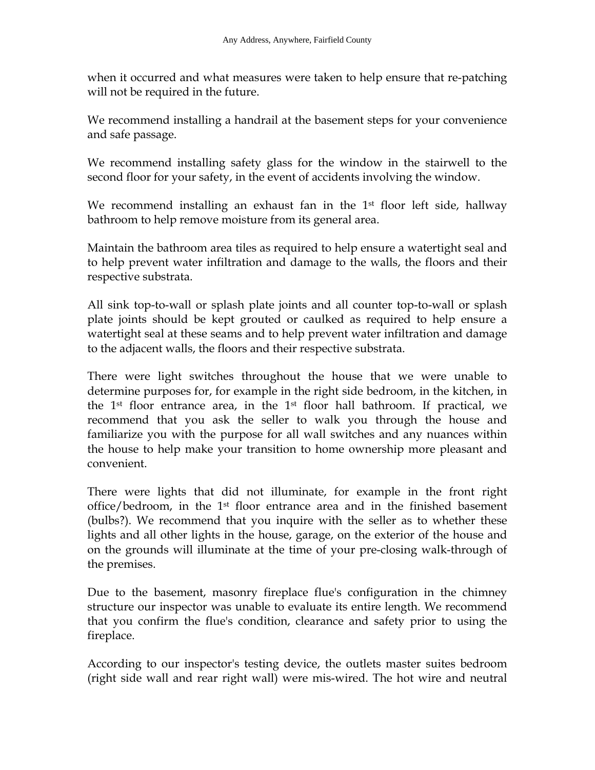when it occurred and what measures were taken to help ensure that re-patching will not be required in the future.

We recommend installing a handrail at the basement steps for your convenience and safe passage.

We recommend installing safety glass for the window in the stairwell to the second floor for your safety, in the event of accidents involving the window.

We recommend installing an exhaust fan in the 1<sup>st</sup> floor left side, hallway bathroom to help remove moisture from its general area.

Maintain the bathroom area tiles as required to help ensure a watertight seal and to help prevent water infiltration and damage to the walls, the floors and their respective substrata.

All sink top-to-wall or splash plate joints and all counter top-to-wall or splash plate joints should be kept grouted or caulked as required to help ensure a watertight seal at these seams and to help prevent water infiltration and damage to the adjacent walls, the floors and their respective substrata.

There were light switches throughout the house that we were unable to determine purposes for, for example in the right side bedroom, in the kitchen, in the 1st floor entrance area, in the 1st floor hall bathroom. If practical, we recommend that you ask the seller to walk you through the house and familiarize you with the purpose for all wall switches and any nuances within the house to help make your transition to home ownership more pleasant and convenient.

There were lights that did not illuminate, for example in the front right office/bedroom, in the 1st floor entrance area and in the finished basement (bulbs?). We recommend that you inquire with the seller as to whether these lights and all other lights in the house, garage, on the exterior of the house and on the grounds will illuminate at the time of your pre-closing walk-through of the premises.

Due to the basement, masonry fireplace flue's configuration in the chimney structure our inspector was unable to evaluate its entire length. We recommend that you confirm the flue's condition, clearance and safety prior to using the fireplace.

According to our inspector's testing device, the outlets master suites bedroom (right side wall and rear right wall) were mis-wired. The hot wire and neutral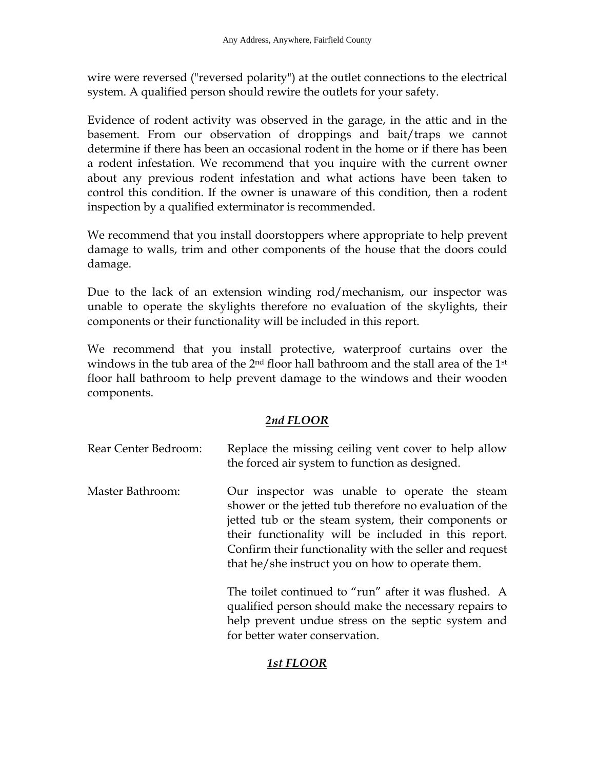wire were reversed ("reversed polarity") at the outlet connections to the electrical system. A qualified person should rewire the outlets for your safety.

Evidence of rodent activity was observed in the garage, in the attic and in the basement. From our observation of droppings and bait/traps we cannot determine if there has been an occasional rodent in the home or if there has been a rodent infestation. We recommend that you inquire with the current owner about any previous rodent infestation and what actions have been taken to control this condition. If the owner is unaware of this condition, then a rodent inspection by a qualified exterminator is recommended.

We recommend that you install doorstoppers where appropriate to help prevent damage to walls, trim and other components of the house that the doors could damage.

Due to the lack of an extension winding rod/mechanism, our inspector was unable to operate the skylights therefore no evaluation of the skylights, their components or their functionality will be included in this report.

We recommend that you install protective, waterproof curtains over the windows in the tub area of the 2<sup>nd</sup> floor hall bathroom and the stall area of the 1<sup>st</sup> floor hall bathroom to help prevent damage to the windows and their wooden components.

#### *2nd FLOOR*

| Rear Center Bedroom: | Replace the missing ceiling vent cover to help allow<br>the forced air system to function as designed.                                                                                                                                                                                                                                 |
|----------------------|----------------------------------------------------------------------------------------------------------------------------------------------------------------------------------------------------------------------------------------------------------------------------------------------------------------------------------------|
| Master Bathroom:     | Our inspector was unable to operate the steam<br>shower or the jetted tub therefore no evaluation of the<br>jetted tub or the steam system, their components or<br>their functionality will be included in this report.<br>Confirm their functionality with the seller and request<br>that he/she instruct you on how to operate them. |

 The toilet continued to "run" after it was flushed. A qualified person should make the necessary repairs to help prevent undue stress on the septic system and for better water conservation.

#### *1st FLOOR*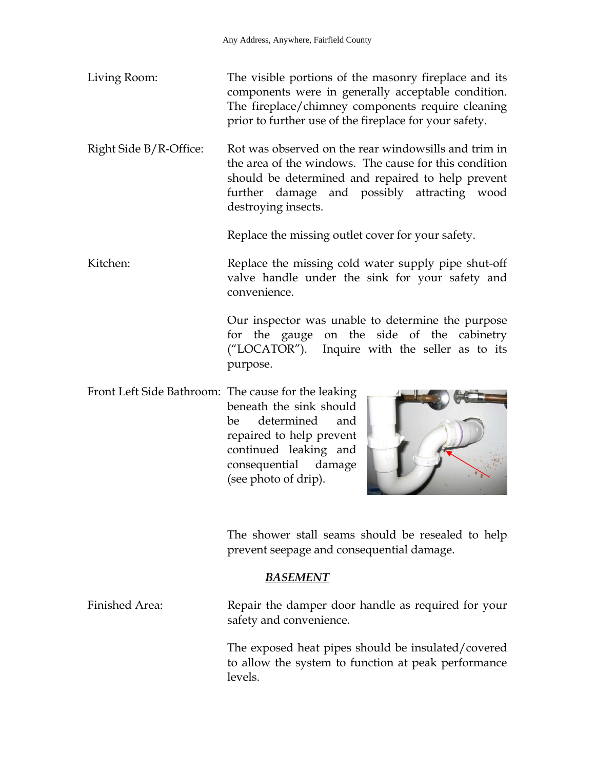- Living Room: The visible portions of the masonry fireplace and its components were in generally acceptable condition. The fireplace/chimney components require cleaning prior to further use of the fireplace for your safety.
- Right Side B/R-Office: Rot was observed on the rear windowsills and trim in the area of the windows. The cause for this condition should be determined and repaired to help prevent further damage and possibly attracting wood destroying insects.

Replace the missing outlet cover for your safety.

Kitchen: Replace the missing cold water supply pipe shut-off valve handle under the sink for your safety and convenience.

> Our inspector was unable to determine the purpose for the gauge on the side of the cabinetry ("LOCATOR"). Inquire with the seller as to its purpose.

Front Left Side Bathroom: The cause for the leaking beneath the sink should be determined and repaired to help prevent continued leaking and consequential damage (see photo of drip).



 The shower stall seams should be resealed to help prevent seepage and consequential damage.

#### *BASEMENT*

Finished Area: Repair the damper door handle as required for your safety and convenience.

> The exposed heat pipes should be insulated/covered to allow the system to function at peak performance levels.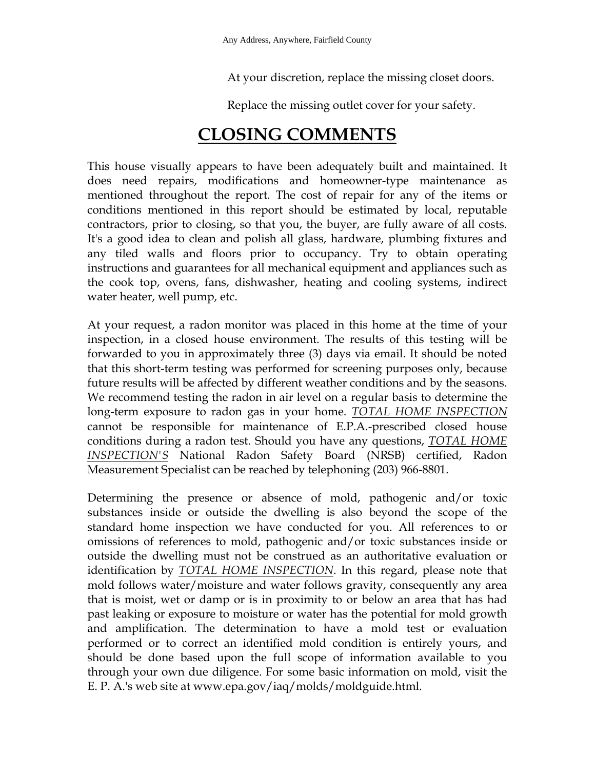At your discretion, replace the missing closet doors.

Replace the missing outlet cover for your safety.

## **CLOSING COMMENTS**

This house visually appears to have been adequately built and maintained. It does need repairs, modifications and homeowner-type maintenance as mentioned throughout the report. The cost of repair for any of the items or conditions mentioned in this report should be estimated by local, reputable contractors, prior to closing, so that you, the buyer, are fully aware of all costs. It's a good idea to clean and polish all glass, hardware, plumbing fixtures and any tiled walls and floors prior to occupancy. Try to obtain operating instructions and guarantees for all mechanical equipment and appliances such as the cook top, ovens, fans, dishwasher, heating and cooling systems, indirect water heater, well pump, etc.

At your request, a radon monitor was placed in this home at the time of your inspection, in a closed house environment. The results of this testing will be forwarded to you in approximately three (3) days via email. It should be noted that this short-term testing was performed for screening purposes only, because future results will be affected by different weather conditions and by the seasons. We recommend testing the radon in air level on a regular basis to determine the long-term exposure to radon gas in your home. *TOTAL HOME INSPECTION* cannot be responsible for maintenance of E.P.A.-prescribed closed house conditions during a radon test. Should you have any questions, *TOTAL HOME INSPECTION'S* National Radon Safety Board (NRSB) certified, Radon Measurement Specialist can be reached by telephoning (203) 966-8801.

Determining the presence or absence of mold, pathogenic and/or toxic substances inside or outside the dwelling is also beyond the scope of the standard home inspection we have conducted for you. All references to or omissions of references to mold, pathogenic and/or toxic substances inside or outside the dwelling must not be construed as an authoritative evaluation or identification by *TOTAL HOME INSPECTION*. In this regard, please note that mold follows water/moisture and water follows gravity, consequently any area that is moist, wet or damp or is in proximity to or below an area that has had past leaking or exposure to moisture or water has the potential for mold growth and amplification. The determination to have a mold test or evaluation performed or to correct an identified mold condition is entirely yours, and should be done based upon the full scope of information available to you through your own due diligence. For some basic information on mold, visit the E. P. A.'s web site at www.epa.gov/iaq/molds/moldguide.html.